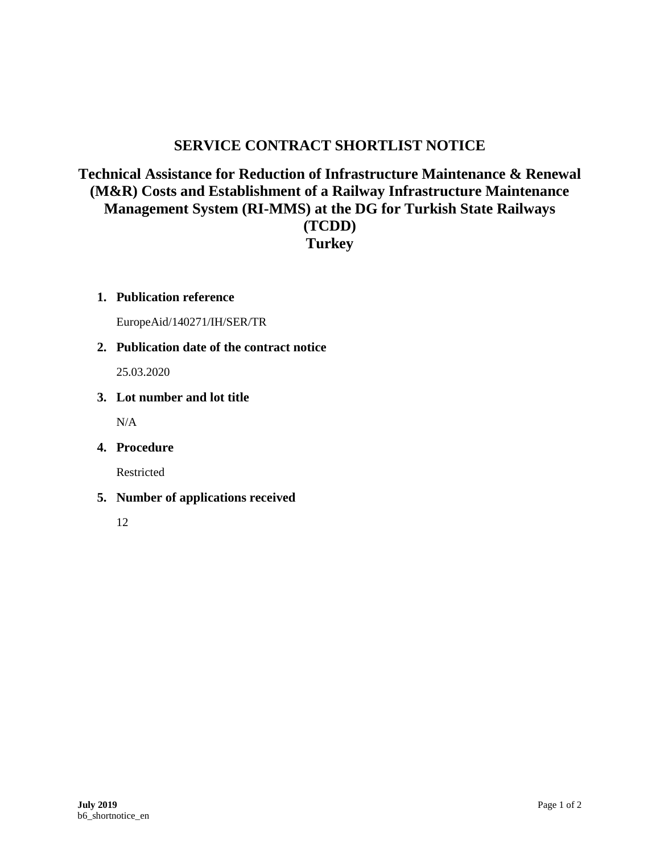# **SERVICE CONTRACT SHORTLIST NOTICE**

## **Technical Assistance for Reduction of Infrastructure Maintenance & Renewal (M&R) Costs and Establishment of a Railway Infrastructure Maintenance Management System (RI-MMS) at the DG for Turkish State Railways (TCDD) Turkey**

#### **1. Publication reference**

EuropeAid/140271/IH/SER/TR

#### **2. Publication date of the contract notice**

25.03.2020

#### **3. Lot number and lot title**

 $N/A$ 

#### **4. Procedure**

Restricted

#### **5. Number of applications received**

12